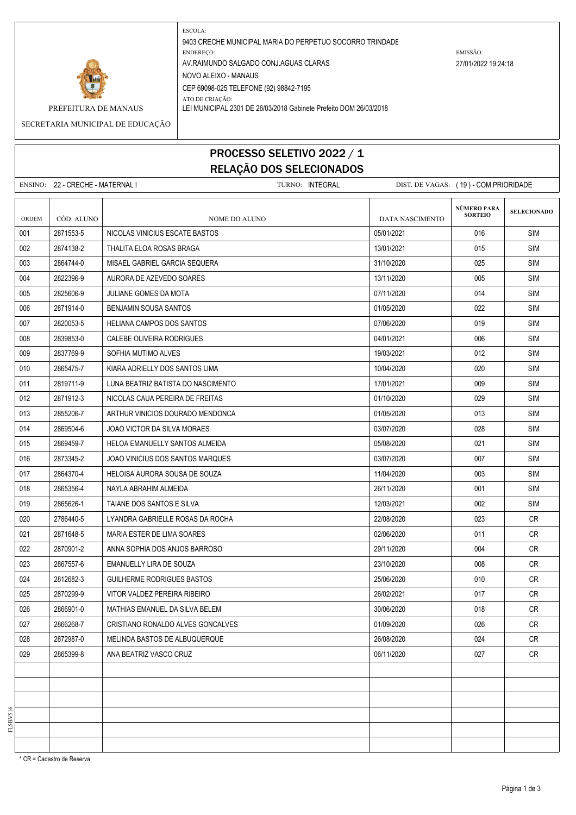

ESCOLA: 9403 CRECHE MUNICIPAL MARIA DO PERPETUO SOCORRO TRINDADE ENDEREÇO: EMISSÃO: AV.RAIMUNDO SALGADO CONJ.AGUAS CLARAS 27/01/2022 19:24:18 NOVO ALEIXO - MANAUS CEP 69098-025 TELEFONE (92) 98842-7195 ATO DE CRIAÇÃO:

PREFEITURA DE MANAUS LEI MUNICIPAL 2301 DE 26/03/2018 Gabinete Prefeito DOM 26/03/2018

SECRETARIA MUNICIPAL DE EDUCAÇÃO

## PROCESSO SELETIVO 2022 / 1 RELAÇÃO DOS SELECIONADOS

ENSINO: 22 - CRECHE - MATERNAL I TURNO: INTEGRAL DIST. DE VAGAS: ( 19 ) - COM PRIORIDADE **SELECIONADO** ORDEM CÓD. ALUNO **NOME DO ALUNO** NOME DO ALUNO DATA NASCIMENTO 001 2871553-5 NICOLAS VINICIUS ESCATE BASTOS 05/01/2021 SIM 002 2874138-2 THALITA ELOA ROSAS BRAGA 13001/2021 13/01/2021 2874138-2 SIM 003 2864744-0 MISAEL GABRIEL GARCIA SEQUERA 31/10/2020 SIM 004 2822396-9 AURORA DE AZEVEDO SOARES 13/11/2020 13/11/2020 005 SIM 005 2825606-9 JULIANE GOMES DA MOTA 07/11/2020 SIM 006 2871914-0 BENJAMIN SOUSA SANTOS 01/05/2020 022 SIM 007 2820053-5 HELIANA CAMPOS DOS SANTOS CONTRA EN LA CONSTRUITION DE LA CONSTRUITION DE LA CONTRA SIM 008 2839853-0 CALEBE OLIVEIRA RODRIGUES 04/01/2021 006 SIM 009 2837769-9 SOFHIA MUTIMO ALVES 19/03/2021 2012 5 | 19/03/2021 2012 | SIM 010 2865475-7 KIARA ADRIELLY DOS SANTOS LIMA 1000-1000 1004/2020 1004/2020 1004/2020 9020 SIM 011 2819711-9 LUNA BEATRIZ BATISTA DO NASCIMENTO 1990 101/17/01/2021 17/01/2021 009 SIM 012 2871912-3 NICOLAS CAUA PEREIRA DE FREITAS 01/10/2020 SIM 013 2855206-7 ARTHUR VINICIOS DOURADO MENDONCA 01/05/2020 013 SIM 014 2869504-6 JOAO VICTOR DA SILVA MORAES 03/07/2020 028 SIM 015 2869459-7 HELOA EMANUELLY SANTOS ALMEIDA 05/08/2020 021 SIM 016 2873345-2 JOAO VINICIUS DOS SANTOS MARQUES 03/07/2020 007 SIM 017 2864370-4 HELOISA AURORA SOUSA DE SOUZA 11/04/2020 003 SIM 018 2865356-4 NAYLA ABRAHIM ALMEIDA 26/11/2020 001 SIM 019 2865626-1 TAIANE DOS SANTOS E SILVA 1203/2021 | 002 | SIM 020 2786440-5 LYANDRA GABRIELLE ROSAS DA ROCHA 22/08/2020 2006/2020 2786440-5 CR 021 2871648-5 MARIA ESTER DE LIMA SOARES 02/06/2020 011 CR 022 2870901-2 ANNA SOPHIA DOS ANJOS BARROSO 2002 29/11/2020 129/11/2020 1004 CR 023 2867557-6 EMANUELLY LIRA DE SOUZA 23/10/2020 CR 024 2812682-3 GUILHERME RODRIGUES BASTOS 25/06/2020 25/06/2020 25/06/2020 010 CR 025 2870299-9 VITOR VALDEZ PEREIRA RIBEIRO 2002 2002 2002/2021 26/02/2021 26/02/2021 26/02 026 2866901-0 MATHIAS EMANUEL DA SILVA BELEM 30/06/2020 018 CR 027 2866268-7 CRISTIANO RONALDO ALVES GONCALVES 01/09/2020 026 CR 028 2872987-0 MELINDA BASTOS DE ALBUQUERQUE 26/08/2020 26/08/2020 26/08/2020 27 26/08 029 2865399-8 ANA BEATRIZ VASCO CRUZ 06/11/2020 027 CR **NÚMERO PARA SORTEIO**

\* CR = Cadastro de Reserva

FL5BV516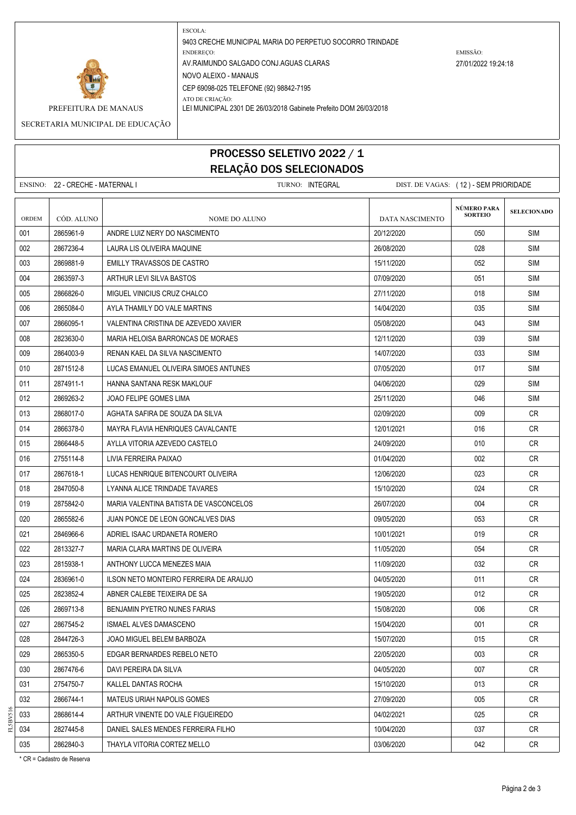

ESCOLA: 9403 CRECHE MUNICIPAL MARIA DO PERPETUO SOCORRO TRINDADE ENDEREÇO: EMISSÃO: AV.RAIMUNDO SALGADO CONJ.AGUAS CLARAS 27/01/2022 19:24:18 NOVO ALEIXO - MANAUS CEP 69098-025 TELEFONE (92) 98842-7195 ATO DE CRIAÇÃO:

PREFEITURA DE MANAUS LEI MUNICIPAL 2301 DE 26/03/2018 Gabinete Prefeito DOM 26/03/2018

SECRETARIA MUNICIPAL DE EDUCAÇÃO

## PROCESSO SELETIVO 2022 / 1 RELAÇÃO DOS SELECIONADOS

ENSINO: 22 - CRECHE - MATERNAL I TURNO: INTEGRAL DIST. DE VAGAS: ( 12 ) - SEM PRIORIDADE **SELECIONADO** ORDEM CÓD. ALUNO **NOME DO ALUNO** NOME DO ALUNO DATA NASCIMENTO 001 2865961-9 ANDRE LUIZ NERY DO NASCIMENTO 2001 20/12/2020 2000 2012/2020 2000 SIM 002 2867236-4 LAURA LIS OLIVEIRA MAQUINE 26/08/2020 028 SIM 003 2869881-9 EMILLY TRAVASSOS DE CASTRO 15/11/2020 052 SIM 004 2863597-3 ARTHUR LEVI SILVA BASTOS 07/09/2020 051 SIM 005 2866826-0 MIGUEL VINICIUS CRUZ CHALCO 2000 27/11/2020 905 27/11/2020 0018 SIM 006 2865084-0 AYLA THAMILY DO VALE MARTINS 14/04/2020 SIM 007 2866095-1 VALENTINA CRISTINA DE AZEVEDO XAVIER 05/08/2020 043 SIM 008 2823630-0 MARIA HELOISA BARRONICAS DE MORAES 12/11/2020 12/11/2020 139 SIM 009 2864003-9 RENAN KAEL DA SILVA NASCIMENTO 14/07/2020 14/07/2020 33 SIM 010 2871512-8 LUCAS EMANUEL OLIVEIRA SIMOES ANTUNES 07/05/2020 017 SIM 011 2874911-1 HANNA SANTANA RESK MAKLOUF 04/06/2020 029 SIM 012 2869263-2 JJOAO FELIPE GOMES LIMA 25 25/11/2020 25/11/2020 25/11/2020 25/11/2020 013 2868017-0 AGHATA SAFIRA DE SOUZA DA SILVA 02/09/2020 009 CR 014 2866378-0 | MAYRA FLAVIA HENRIQUES CAVALCANTE | 12/01/2021 | 016 | CR 015 2866448-5 AYLLA VITORIA AZEVEDO CASTELO 2009/2020 24/09/2020 010 CR 016 | 2755114-8 | LIVIA FERREIRA PAIXAO 01/04/2020 CR 017 2867618-1 LUCAS HENRIQUE BITENCOURT OLIVEIRA 1206/2020 | 023 CR 018 2847050-8 LYANNA ALICE TRINDADE TAVARES 15/10/2020 024 CR 019 2875842-0 MARIA VALENTINA BATISTA DE VASCONCELOS 26/07/2020 2004 CR 020 2865582-6 JUAN PONCE DE LEON GONCALVES DIAS 09/05/2020 053 CR 021 2846966-6 ADRIEL ISAAC URDANETA ROMERO 1020 1020 1001/2021 10/01/2021 019 CR 022 2813327-7 MARIA CLARA MARTINS DE OLIVEIRA 11/05/2020 11/05/2020 054 CR 023 2815938-1 ANTHONY LUCCA MENEZES MAIA 11/09/2020 CR 024 2836961-0 ILSON NETO MONTEIRO FERREIRA DE ARAUJO 04/05/2020 011 CR 025 2823852-4 ABNER CALEBE TEIXEIRA DE SA 19/05/2020 19/05/2020 19/05/2020 19/05/2020 19/05 026 2869713-8 BENJAMIN PYETRO NUNES FARIAS 1500 CR 15/08/2020 15/08/2020 006 CR 027 2867545-2 ISMAEL ALVES DAMASCENO 15/04/2020 001 CR 028 2844726-3 JOAO MIGUEL BELEM BARBOZA 15/07/2020 15/07/2020 15/07/2020 15/07/2020 2015 CR 029 2865350-5 EDGAR BERNARDES REBELO NETO 22/05/2020 003 CR 030 2867476-6 DAVI PEREIRA DA SILVA 04/05/2020 007 CR 031 2754750-7 KALLEL DANTAS ROCHA 15/10/2020 15/10/2020 15/10/2020 15/10/2020 15/10/2020 15/10 032 2866744-1 | MATEUS URIAH NAPOLIS GOMES 27/09/2020 | 005 | CR 033 2868614-4 ARTHUR VINENTE DO VALE FIGUEIREDO 04/02/2021 CR **NÚMERO PARA SORTEIO**

034 2827445-8 DANIEL SALES MENDES FERREIRA FILHO 1000 10004/2020 10/04/2020 10:37 CR 035 2862840-3 THAYLA VITORIA CORTEZ MELLO 03/06/2020 042 CR

\* CR = Cadastro de Reserva

FL5BV516